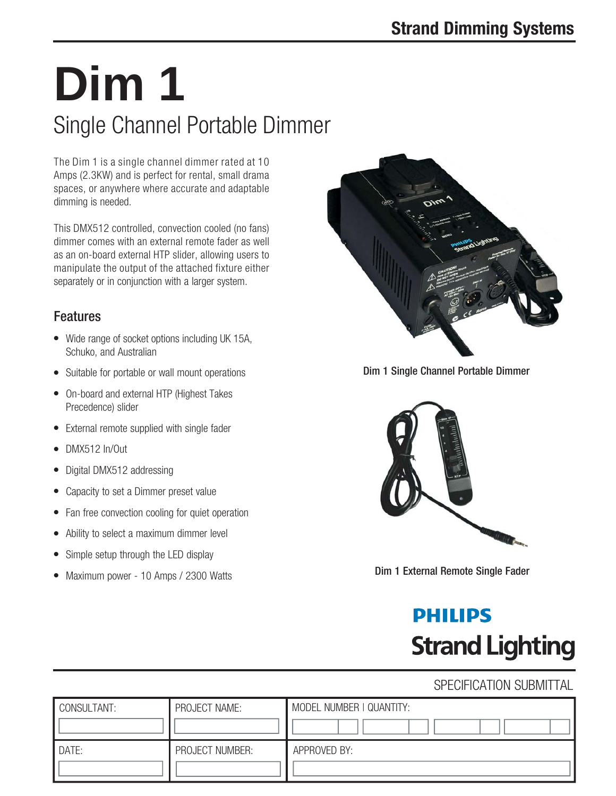# Single Channel Portable Dimmer **Dim 1**

The Dim 1 is a single channel dimmer rated at 10 Amps (2.3KW) and is perfect for rental, small drama spaces, or anywhere where accurate and adaptable dimming is needed.

This DMX512 controlled, convection cooled (no fans) dimmer comes with an external remote fader as well as an on-board external HTP slider, allowing users to manipulate the output of the attached fixture either separately or in conjunction with a larger system.

### **Features**

- Wide range of socket options including UK 15A, Schuko, and Australian
- Suitable for portable or wall mount operations
- On-board and external HTP (Highest Takes Precedence) slider
- External remote supplied with single fader
- DMX512 In/Out
- Digital DMX512 addressing
- Capacity to set a Dimmer preset value
- Fan free convection cooling for quiet operation
- Ability to select a maximum dimmer level
- Simple setup through the LED display
- Maximum power 10 Amps / 2300 Watts



Dim 1 Single Channel Portable Dimmer



Dim 1 External Remote Single Fader

## **PHILIPS Strand Lighting**

### SPECIFICATION SUBMITTAL

| CONSULTANT: | PROJECT NAME:   | MODEL NUMBER   QUANTITY: |
|-------------|-----------------|--------------------------|
| DATE:       | PROJECT NUMBER: | APPROVED BY:             |